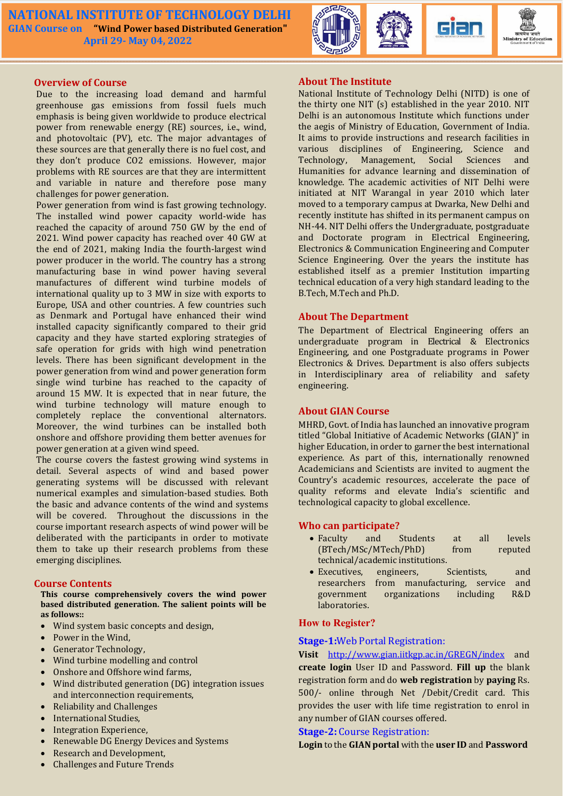

### Overview of Course

Due to the increasing load demand and harmful greenhouse gas emissions from fossil fuels much emphasis is being given worldwide to produce electrical power from renewable energy (RE) sources, i.e., wind, and photovoltaic (PV), etc. The major advantages of these sources are that generally there is no fuel cost, and they don't produce CO2 emissions. However, major problems with RE sources are that they are intermittent and variable in nature and therefore pose many challenges for power generation.

Power generation from wind is fast growing technology. The installed wind power capacity world-wide has reached the capacity of around 750 GW by the end of 2021. Wind power capacity has reached over 40 GW at the end of 2021, making India the fourth-largest wind power producer in the world. The country has a strong manufacturing base in wind power having several manufactures of different wind turbine models of international quality up to 3 MW in size with exports to Europe, USA and other countries. A few countries such as Denmark and Portugal have enhanced their wind installed capacity significantly compared to their grid capacity and they have started exploring strategies of safe operation for grids with high wind penetration levels. There has been significant development in the power generation from wind and power generation form single wind turbine has reached to the capacity of around 15 MW. It is expected that in near future, the wind turbine technology will mature enough to completely replace the conventional alternators. Moreover, the wind turbines can be installed both onshore and offshore providing them better avenues for power generation at a given wind speed.

The course covers the fastest growing wind systems in detail. Several aspects of wind and based power generating systems will be discussed with relevant numerical examples and simulation-based studies. Both the basic and advance contents of the wind and systems will be covered. Throughout the discussions in the course important research aspects of wind power will be deliberated with the participants in order to motivate them to take up their research problems from these emerging disciplines.

# Course Contents

This course comprehensively covers the wind power based distributed generation. The salient points will be as follows::

- Wind system basic concepts and design,
- Power in the Wind.
- Generator Technology,
- Wind turbine modelling and control
- Onshore and Offshore wind farms,
- Wind distributed generation (DG) integration issues and interconnection requirements,
- Reliability and Challenges
- International Studies,
- Integration Experience,
- Renewable DG Energy Devices and Systems
- Research and Development,
- Challenges and Future Trends

### About The Institute

National Institute of Technology Delhi (NITD) is one of the thirty one NIT (s) established in the year 2010. NIT Delhi is an autonomous Institute which functions under the aegis of Ministry of Education, Government of India. It aims to provide instructions and research facilities in various disciplines of Engineering, Science and Management, Social Sciences and Humanities for advance learning and dissemination of knowledge. The academic activities of NIT Delhi were initiated at NIT Warangal in year 2010 which later moved to a temporary campus at Dwarka, New Delhi and recently institute has shifted in its permanent campus on NH-44. NIT Delhi offers the Undergraduate, postgraduate and Doctorate program in Electrical Engineering, Electronics & Communication Engineering and Computer Science Engineering. Over the years the institute has established itself as a premier Institution imparting technical education of a very high standard leading to the B.Tech, M.Tech and Ph.D.

# About The Department

The Department of Electrical Engineering offers an undergraduate program in Electrical & Electronics Engineering, and one Postgraduate programs in Power Electronics & Drives. Department is also offers subjects in Interdisciplinary area of reliability and safety engineering.

# About GIAN Course

MHRD, Govt. of India has launched an innovative program titled "Global Initiative of Academic Networks (GIAN)" in higher Education, in order to garner the best international experience. As part of this, internationally renowned Academicians and Scientists are invited to augment the Country's academic resources, accelerate the pace of quality reforms and elevate India's scientific and technological capacity to global excellence.

# Who can participate?

- Faculty and Students at all levels (BTech/MSc/MTech/PhD) from reputed technical/academic institutions.
- Executives, engineers, Scientists, and researchers from manufacturing, service and government organizations including R&D laboratories.

# How to Register?

### Stage-1:Web Portal Registration:

Visit http://www.gian.iitkgp.ac.in/GREGN/index and create login User ID and Password. Fill up the blank registration form and do web registration by paying Rs. 500/- online through Net /Debit/Credit card. This provides the user with life time registration to enrol in any number of GIAN courses offered.

### Stage-2: Course Registration:

Login to the GIAN portal with the user ID and Password